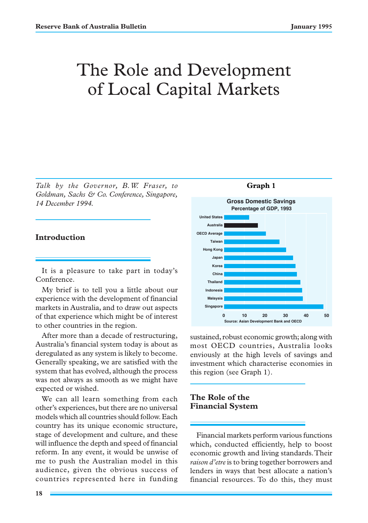# The Role and Development of Local Capital Markets

*Talk by the Governor, B.W. Fraser, to Goldman, Sachs & Co. Conference, Singapore, 14 December 1994.*

### **Introduction**

It is a pleasure to take part in today's Conference.

My brief is to tell you a little about our experience with the development of financial markets in Australia, and to draw out aspects of that experience which might be of interest to other countries in the region.

After more than a decade of restructuring, Australia's financial system today is about as deregulated as any system is likely to become. Generally speaking, we are satisfied with the system that has evolved, although the process was not always as smooth as we might have expected or wished.

We can all learn something from each other's experiences, but there are no universal models which all countries should follow. Each country has its unique economic structure, stage of development and culture, and these will influence the depth and speed of financial reform. In any event, it would be unwise of me to push the Australian model in this audience, given the obvious success of countries represented here in funding



sustained, robust economic growth; along with most OECD countries, Australia looks enviously at the high levels of savings and investment which characterise economies in this region (see Graph 1).

## **The Role of the Financial System**

Financial markets perform various functions which, conducted efficiently, help to boost economic growth and living standards. Their *raison d'etre* is to bring together borrowers and lenders in ways that best allocate a nation's financial resources. To do this, they must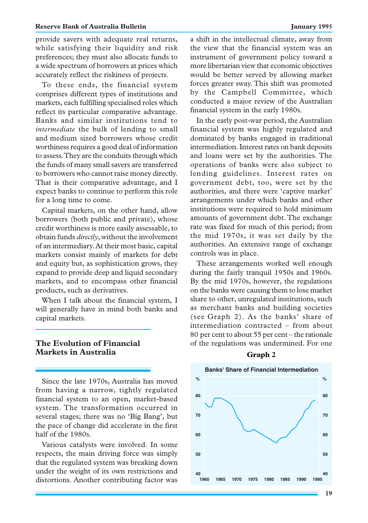#### **Reserve Bank of Australia Bulletin January 1995**

provide savers with adequate real returns, while satisfying their liquidity and risk preferences; they must also allocate funds to a wide spectrum of borrowers at prices which accurately reflect the riskiness of projects.

To these ends, the financial system comprises different types of institutions and markets, each fulfilling specialised roles which reflect its particular comparative advantage. Banks and similar institutions tend to *intermediate* the bulk of lending to small and medium sized borrowers whose credit worthiness requires a good deal of information to assess. They are the conduits through which the funds of many small savers are transferred to borrowers who cannot raise money directly. That is their comparative advantage, and I expect banks to continue to perform this role for a long time to come.

Capital markets, on the other hand, allow borrowers (both public and private), whose credit worthiness is more easily assessable, to obtain funds *directly*, without the involvement of an intermediary. At their most basic, capital markets consist mainly of markets for debt and equity but, as sophistication grows, they expand to provide deep and liquid secondary markets, and to encompass other financial products, such as derivatives.

When I talk about the financial system, I will generally have in mind both banks and capital markets.

## **The Evolution of Financial Markets in Australia**

Since the late 1970s, Australia has moved from having a narrow, tightly regulated financial system to an open, market-based system. The transformation occurred in several stages; there was no 'Big Bang', but the pace of change did accelerate in the first half of the 1980s.

Various catalysts were involved. In some respects, the main driving force was simply that the regulated system was breaking down under the weight of its own restrictions and distortions. Another contributing factor was **1960 1965 1970 1975 1980 1985 1990 1995**

a shift in the intellectual climate, away from the view that the financial system was an instrument of government policy toward a more libertarian view that economic objectives would be better served by allowing market forces greater sway. This shift was promoted by the Campbell Committee, which conducted a major review of the Australian financial system in the early 1980s.

In the early post-war period, the Australian financial system was highly regulated and dominated by banks engaged in traditional intermediation. Interest rates on bank deposits and loans were set by the authorities. The operations of banks were also subject to lending guidelines. Interest rates on government debt, too, were set by the authorities, and there were 'captive market' arrangements under which banks and other institutions were required to hold minimum amounts of government debt. The exchange rate was fixed for much of this period; from the mid 1970s, it was set daily by the authorities. An extensive range of exchange controls was in place.

These arrangements worked well enough during the fairly tranquil 1950s and 1960s. By the mid 1970s, however, the regulations on the banks were causing them to lose market share to other, unregulated institutions, such as merchant banks and building societies (see Graph 2). As the banks' share of intermediation contracted – from about 80 per cent to about 55 per cent – the rationale of the regulations was undermined. For one



#### **Graph 2**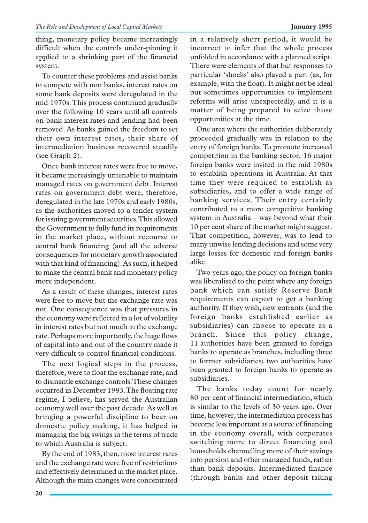thing, monetary policy became increasingly difficult when the controls under-pinning it applied to a shrinking part of the financial system.

To counter these problems and assist banks to compete with non banks, interest rates on some bank deposits were deregulated in the mid 1970s. This process continued gradually over the following 10 years until all controls on bank interest rates and lending had been removed. As banks gained the freedom to set their own interest rates, their share of intermediation business recovered steadily (see Graph 2).

Once bank interest rates were free to move, it became increasingly untenable to maintain managed rates on government debt. Interest rates on government debt were, therefore, deregulated in the late 1970s and early 1980s, as the authorities moved to a tender system for issuing government securities. This allowed the Government to fully fund its requirements in the market place, without recourse to central bank financing (and all the adverse consequences for monetary growth associated with that kind of financing). As such, it helped to make the central bank and monetary policy more independent.

As a result of these changes, interest rates were free to move but the exchange rate was not. One consequence was that pressures in the economy were reflected in a lot of volatility in interest rates but not much in the exchange rate. Perhaps more importantly, the huge flows of capital into and out of the country made it very difficult to control financial conditions.

The next logical steps in the process, therefore, were to float the exchange rate, and to dismantle exchange controls. These changes occurred in December 1983. The floating rate regime, I believe, has served the Australian economy well over the past decade. As well as bringing a powerful discipline to bear on domestic policy making, it has helped in managing the big swings in the terms of trade to which Australia is subject.

By the end of 1983, then, most interest rates and the exchange rate were free of restrictions and effectively determined in the market place. Although the main changes were concentrated in a relatively short period, it would be incorrect to infer that the whole process unfolded in accordance with a planned script. There were elements of that but responses to particular 'shocks' also played a part (as, for example, with the float). It might not be ideal but sometimes opportunities to implement reforms will arise unexpectedly, and it is a matter of being prepared to seize those opportunities at the time.

One area where the authorities deliberately proceeded gradually was in relation to the entry of foreign banks. To promote increased competition in the banking sector, 16 major foreign banks were invited in the mid 1980s to establish operations in Australia. At that time they were required to establish as subsidiaries, and to offer a wide range of banking services. Their entry certainly contributed to a more competitive banking system in Australia – way beyond what their 10 per cent share of the market might suggest. That competition, however, was to lead to many unwise lending decisions and some very large losses for domestic and foreign banks alike.

Two years ago, the policy on foreign banks was liberalised to the point where any foreign bank which can satisfy Reserve Bank requirements can expect to get a banking authority. If they wish, new entrants (and the foreign banks established earlier as subsidiaries) can choose to operate as a branch. Since this policy change, 11 authorities have been granted to foreign banks to operate as branches, including three to former subsidiaries; two authorities have been granted to foreign banks to operate as subsidiaries.

The banks today count for nearly 80 per cent of financial intermediation, which is similar to the levels of 30 years ago. Over time, however, the intermediation process has become less important as a source of financing in the economy overall, with corporates switching more to direct financing and households channelling more of their savings into pension and other managed funds, rather than bank deposits. Intermediated finance (through banks and other deposit taking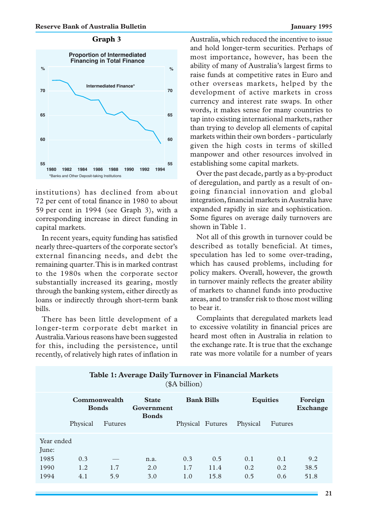#### **Graph 3**



institutions) has declined from about 72 per cent of total finance in 1980 to about 59 per cent in 1994 (see Graph 3), with a corresponding increase in direct funding in capital markets.

In recent years, equity funding has satisfied nearly three-quarters of the corporate sector's external financing needs, and debt the remaining quarter. This is in marked contrast to the 1980s when the corporate sector substantially increased its gearing, mostly through the banking system, either directly as loans or indirectly through short-term bank bills.

There has been little development of a longer-term corporate debt market in Australia. Various reasons have been suggested for this, including the persistence, until recently, of relatively high rates of inflation in Australia, which reduced the incentive to issue and hold longer-term securities. Perhaps of most importance, however, has been the ability of many of Australia's largest firms to raise funds at competitive rates in Euro and other overseas markets, helped by the development of active markets in cross currency and interest rate swaps. In other words, it makes sense for many countries to tap into existing international markets, rather than trying to develop all elements of capital markets within their own borders - particularly given the high costs in terms of skilled manpower and other resources involved in establishing some capital markets.

Over the past decade, partly as a by-product of deregulation, and partly as a result of ongoing financial innovation and global integration, financial markets in Australia have expanded rapidly in size and sophistication. Some figures on average daily turnovers are shown in Table 1.

Not all of this growth in turnover could be described as totally beneficial. At times, speculation has led to some over-trading, which has caused problems, including for policy makers. Overall, however, the growth in turnover mainly reflects the greater ability of markets to channel funds into productive areas, and to transfer risk to those most willing to bear it.

Complaints that deregulated markets lead to excessive volatility in financial prices are heard most often in Australia in relation to the exchange rate. It is true that the exchange rate was more volatile for a number of years

| Table 1: Average Daily Turnover in Financial Markets<br>(\$A billion) |                              |                |                                            |                   |                     |                   |                   |                     |
|-----------------------------------------------------------------------|------------------------------|----------------|--------------------------------------------|-------------------|---------------------|-------------------|-------------------|---------------------|
|                                                                       | Commonwealth<br><b>Bonds</b> |                | <b>State</b><br>Government<br><b>Bonds</b> | <b>Bank Bills</b> |                     | <b>Equities</b>   |                   | Foreign<br>Exchange |
|                                                                       | Physical                     | <b>Futures</b> |                                            | Physical Futures  |                     | Physical          | Futures           |                     |
| Year ended<br>June:<br>1985<br>1990<br>1994                           | 0.3<br>1.2<br>4.1            | 1.7<br>5.9     | n.a.<br>2.0<br>3.0                         | 0.3<br>1.7<br>1.0 | 0.5<br>11.4<br>15.8 | 0.1<br>0.2<br>0.5 | 0.1<br>0.2<br>0.6 | 9.2<br>38.5<br>51.8 |

## **Table 1: Average Daily Turnover in Financial Markets**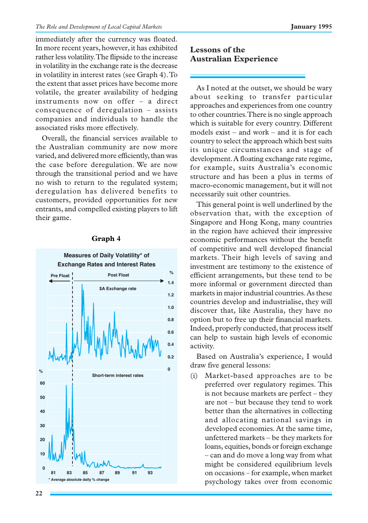immediately after the currency was floated. In more recent years, however, it has exhibited rather less volatility. The flipside to the increase in volatility in the exchange rate is the decrease in volatility in interest rates (see Graph 4). To the extent that asset prices have become more volatile, the greater availability of hedging instruments now on offer – a direct consequence of deregulation – assists companies and individuals to handle the associated risks more effectively.

Overall, the financial services available to the Australian community are now more varied, and delivered more efficiently, than was the case before deregulation. We are now through the transitional period and we have no wish to return to the regulated system; deregulation has delivered benefits to customers, provided opportunities for new entrants, and compelled existing players to lift their game.



## **Graph 4**

## **Lessons of the Australian Experience**

As I noted at the outset, we should be wary about seeking to transfer particular approaches and experiences from one country to other countries. There is no single approach which is suitable for every country. Different models exist – and work – and it is for each country to select the approach which best suits its unique circumstances and stage of development. A floating exchange rate regime, for example, suits Australia's economic structure and has been a plus in terms of macro-economic management, but it will not necessarily suit other countries.

This general point is well underlined by the observation that, with the exception of Singapore and Hong Kong, many countries in the region have achieved their impressive economic performances without the benefit of competitive and well developed financial markets. Their high levels of saving and investment are testimony to the existence of efficient arrangements, but these tend to be more informal or government directed than markets in major industrial countries. As these countries develop and industrialise, they will discover that, like Australia, they have no option but to free up their financial markets. Indeed, properly conducted, that process itself can help to sustain high levels of economic activity.

Based on Australia's experience, I would draw five general lessons:

(i) Market-based approaches are to be preferred over regulatory regimes. This is not because markets are perfect – they are not – but because they tend to work better than the alternatives in collecting and allocating national savings in developed economies. At the same time, unfettered markets – be they markets for loans, equities, bonds or foreign exchange – can and do move a long way from what might be considered equilibrium levels on occasions – for example, when market psychology takes over from economic